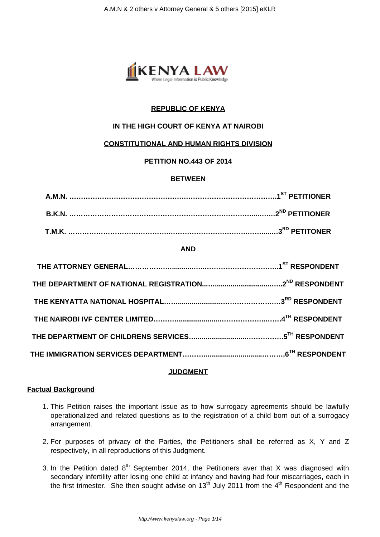

# **REPUBLIC OF KENYA**

# **IN THE HIGH COURT OF KENYA AT NAIROBI**

# **CONSTITUTIONAL AND HUMAN RIGHTS DIVISION**

# **PETITION NO.443 OF 2014**

# **BETWEEN**

# **AND**

# **JUDGMENT**

# **Factual Background**

- 1. This Petition raises the important issue as to how surrogacy agreements should be lawfully operationalized and related questions as to the registration of a child born out of a surrogacy arrangement.
- 2. For purposes of privacy of the Parties, the Petitioners shall be referred as X, Y and Z respectively, in all reproductions of this Judgment.
- 3. In the Petition dated  $8<sup>th</sup>$  September 2014, the Petitioners aver that X was diagnosed with secondary infertility after losing one child at infancy and having had four miscarriages, each in the first trimester. She then sought advise on  $13<sup>th</sup>$  July 2011 from the 4<sup>th</sup> Respondent and the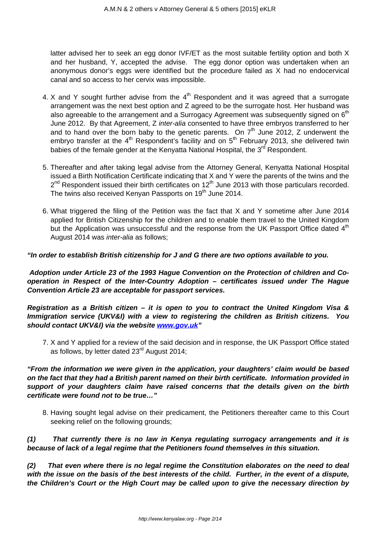latter advised her to seek an egg donor IVF/ET as the most suitable fertility option and both X and her husband, Y, accepted the advise. The egg donor option was undertaken when an anonymous donor's eggs were identified but the procedure failed as X had no endocervical canal and so access to her cervix was impossible.

- 4. X and Y sought further advise from the  $4<sup>th</sup>$  Respondent and it was agreed that a surrogate arrangement was the next best option and Z agreed to be the surrogate host. Her husband was also agreeable to the arrangement and a Surrogacy Agreement was subsequently signed on  $6<sup>th</sup>$ June 2012. By that Agreement, Z inter-alia consented to have three embryos transferred to her and to hand over the born baby to the genetic parents. On  $7<sup>th</sup>$  June 2012, Z underwent the embryo transfer at the  $4<sup>th</sup>$  Respondent's facility and on  $5<sup>th</sup>$  February 2013, she delivered twin babies of the female gender at the Kenyatta National Hospital, the 3<sup>rd</sup> Respondent.
- 5. Thereafter and after taking legal advise from the Attorney General, Kenyatta National Hospital issued a Birth Notification Certificate indicating that X and Y were the parents of the twins and the 2<sup>nd</sup> Respondent issued their birth certificates on 12<sup>th</sup> June 2013 with those particulars recorded. The twins also received Kenyan Passports on 19<sup>th</sup> June 2014.
- 6. What triggered the filing of the Petition was the fact that X and Y sometime after June 2014 applied for British Citizenship for the children and to enable them travel to the United Kingdom but the Application was unsuccessful and the response from the UK Passport Office dated  $4<sup>th</sup>$ August 2014 was inter-alia as follows;

# **"In order to establish British citizenship for J and G there are two options available to you.**

**Adoption under Article 23 of the 1993 Hague Convention on the Protection of children and Cooperation in Respect of the Inter-Country Adoption – certificates issued under The Hague Convention Article 23 are acceptable for passport services.**

**Registration as a British citizen – it is open to you to contract the United Kingdom Visa & Immigration service (UKV&I) with a view to registering the children as British citizens. You should contact UKV&I) via the website [www.gov.uk](http://www.gov.uk)"**

7. X and Y applied for a review of the said decision and in response, the UK Passport Office stated as follows, by letter dated  $23<sup>rd</sup>$  August 2014;

**"From the information we were given in the application, your daughters' claim would be based on the fact that they had a British parent named on their birth certificate. Information provided in support of your daughters claim have raised concerns that the details given on the birth certificate were found not to be true…"**

8. Having sought legal advise on their predicament, the Petitioners thereafter came to this Court seeking relief on the following grounds;

**(1) That currently there is no law in Kenya regulating surrogacy arrangements and it is because of lack of a legal regime that the Petitioners found themselves in this situation.**

**(2) That even where there is no legal regime the Constitution elaborates on the need to deal with the issue on the basis of the best interests of the child. Further, in the event of a dispute, the Children's Court or the High Court may be called upon to give the necessary direction by**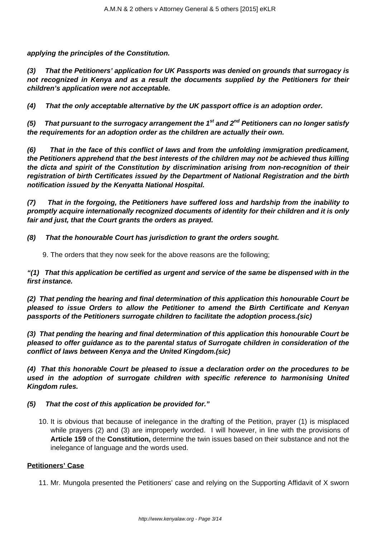**applying the principles of the Constitution.**

**(3) That the Petitioners' application for UK Passports was denied on grounds that surrogacy is not recognized in Kenya and as a result the documents supplied by the Petitioners for their children's application were not acceptable.**

**(4) That the only acceptable alternative by the UK passport office is an adoption order.**

**(5) That pursuant to the surrogacy arrangement the 1st and 2nd Petitioners can no longer satisfy the requirements for an adoption order as the children are actually their own.**

**(6) That in the face of this conflict of laws and from the unfolding immigration predicament, the Petitioners apprehend that the best interests of the children may not be achieved thus killing the dicta and spirit of the Constitution by discrimination arising from non-recognition of their registration of birth Certificates issued by the Department of National Registration and the birth notification issued by the Kenyatta National Hospital.**

**(7) That in the forgoing, the Petitioners have suffered loss and hardship from the inability to promptly acquire internationally recognized documents of identity for their children and it is only fair and just, that the Court grants the orders as prayed.**

**(8) That the honourable Court has jurisdiction to grant the orders sought.**

9. The orders that they now seek for the above reasons are the following;

**"(1) That this application be certified as urgent and service of the same be dispensed with in the first instance.**

**(2) That pending the hearing and final determination of this application this honourable Court be pleased to issue Orders to allow the Petitioner to amend the Birth Certificate and Kenyan passports of the Petitioners surrogate children to facilitate the adoption process.(sic)**

**(3) That pending the hearing and final determination of this application this honourable Court be pleased to offer guidance as to the parental status of Surrogate children in consideration of the conflict of laws between Kenya and the United Kingdom.(sic)**

**(4) That this honorable Court be pleased to issue a declaration order on the procedures to be used in the adoption of surrogate children with specific reference to harmonising United Kingdom rules.**

# **(5) That the cost of this application be provided for."**

10. It is obvious that because of inelegance in the drafting of the Petition, prayer (1) is misplaced while prayers (2) and (3) are improperly worded. I will however, in line with the provisions of **Article 159** of the **Constitution,** determine the twin issues based on their substance and not the inelegance of language and the words used.

#### **Petitioners' Case**

11. Mr. Mungola presented the Petitioners' case and relying on the Supporting Affidavit of X sworn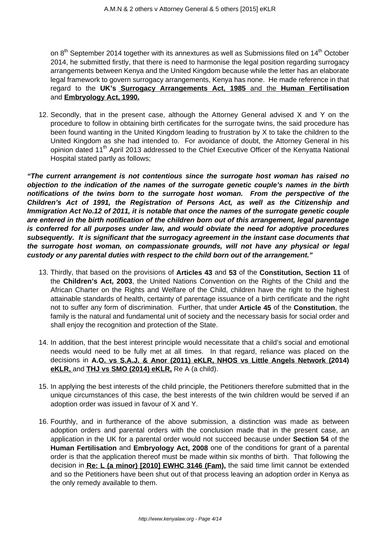on  $8<sup>th</sup>$  September 2014 together with its annextures as well as Submissions filed on 14<sup>th</sup> October 2014, he submitted firstly, that there is need to harmonise the legal position regarding surrogacy arrangements between Kenya and the United Kingdom because while the letter has an elaborate legal framework to govern surrogacy arrangements, Kenya has none. He made reference in that regard to the **UK's Surrogacy Arrangements Act, 1985** and the **Human Fertilisation** and **Embryology Act, 1990.**

12. Secondly, that in the present case, although the Attorney General advised X and Y on the procedure to follow in obtaining birth certificates for the surrogate twins, the said procedure has been found wanting in the United Kingdom leading to frustration by X to take the children to the United Kingdom as she had intended to. For avoidance of doubt, the Attorney General in his opinion dated 11<sup>th</sup> April 2013 addressed to the Chief Executive Officer of the Kenyatta National Hospital stated partly as follows;

**"The current arrangement is not contentious since the surrogate host woman has raised no objection to the indication of the names of the surrogate genetic couple's names in the birth notifications of the twins born to the surrogate host woman. From the perspective of the Children's Act of 1991, the Registration of Persons Act, as well as the Citizenship and Immigration Act No.12 of 2011, it is notable that once the names of the surrogate genetic couple are entered in the birth notification of the children born out of this arrangement, legal parentage is conferred for all purposes under law, and would obviate the need for adoptive procedures subsequently. It is significant that the surrogacy agreement in the instant case documents that the surrogate host woman, on compassionate grounds, will not have any physical or legal custody or any parental duties with respect to the child born out of the arrangement."**

- 13. Thirdly, that based on the provisions of **Articles 43** and **53** of the **Constitution, Section 11** of the **Children's Act, 2003**, the United Nations Convention on the Rights of the Child and the African Charter on the Rights and Welfare of the Child, children have the right to the highest attainable standards of health, certainty of parentage issuance of a birth certificate and the right not to suffer any form of discrimination. Further, that under **Article 45** of the **Constitution**, the family is the natural and fundamental unit of society and the necessary basis for social order and shall enjoy the recognition and protection of the State.
- 14. In addition, that the best interest principle would necessitate that a child's social and emotional needs would need to be fully met at all times. In that regard, reliance was placed on the decisions in **A.O. vs S.A.J. & Anor (2011) eKLR, NHOS vs Little Angels Network (2014) eKLR,** and **THJ vs SMO (2014) eKLR,** Re A (a child).
- 15. In applying the best interests of the child principle, the Petitioners therefore submitted that in the unique circumstances of this case, the best interests of the twin children would be served if an adoption order was issued in favour of X and Y.
- 16. Fourthly, and in furtherance of the above submission, a distinction was made as between adoption orders and parental orders with the conclusion made that in the present case, an application in the UK for a parental order would not succeed because under **Section 54** of the **Human Fertilisation** and **Embryology Act, 2008** one of the conditions for grant of a parental order is that the application thereof must be made within six months of birth. That following the decision in **Re: L (a minor) [2010] EWHC 3146 (Fam),** the said time limit cannot be extended and so the Petitioners have been shut out of that process leaving an adoption order in Kenya as the only remedy available to them.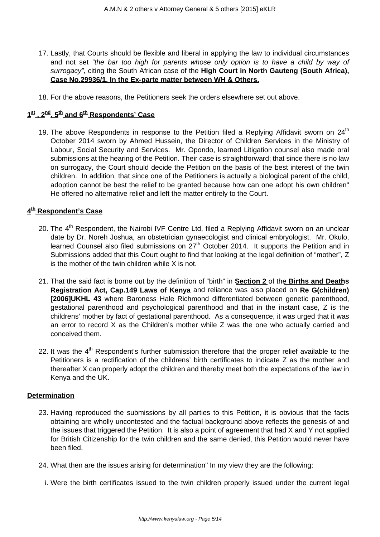- 17. Lastly, that Courts should be flexible and liberal in applying the law to individual circumstances and not set "the bar too high for parents whose only option is to have a child by way of surrogacy", citing the South African case of the **High Court in North Gauteng (South Africa), Case No.29936/1, In the Ex-parte matter between WH & Others.**
- 18. For the above reasons, the Petitioners seek the orders elsewhere set out above.

# **1 st , 2nd, 5th and 6th Respondents' Case**

19. The above Respondents in response to the Petition filed a Replying Affidavit sworn on  $24<sup>th</sup>$ October 2014 sworn by Ahmed Hussein, the Director of Children Services in the Ministry of Labour, Social Security and Services. Mr. Opondo, learned Litigation counsel also made oral submissions at the hearing of the Petition. Their case is straightforward; that since there is no law on surrogacy, the Court should decide the Petition on the basis of the best interest of the twin children. In addition, that since one of the Petitioners is actually a biological parent of the child, adoption cannot be best the relief to be granted because how can one adopt his own children" He offered no alternative relief and left the matter entirely to the Court.

# **4 th Respondent's Case**

- 20. The 4<sup>th</sup> Respondent, the Nairobi IVF Centre Ltd, filed a Replying Affidavit sworn on an unclear date by Dr. Noreh Joshua, an obstetrician gynaecologist and clinical embryologist. Mr. Okulo, learned Counsel also filed submissions on  $27<sup>th</sup>$  October 2014. It supports the Petition and in Submissions added that this Court ought to find that looking at the legal definition of "mother", Z is the mother of the twin children while X is not.
- 21. That the said fact is borne out by the definition of "birth" in **Section 2** of the **Births and Deaths Registration Act, Cap.149 Laws of Kenya** and reliance was also placed on **Re G(children) [2006]UKHL 43** where Baroness Hale Richmond differentiated between genetic parenthood, gestational parenthood and psychological parenthood and that in the instant case, Z is the childrens' mother by fact of gestational parenthood. As a consequence, it was urged that it was an error to record X as the Children's mother while Z was the one who actually carried and conceived them.
- 22. It was the  $4<sup>th</sup>$  Respondent's further submission therefore that the proper relief available to the Petitioners is a rectification of the childrens' birth certificates to indicate Z as the mother and thereafter X can properly adopt the children and thereby meet both the expectations of the law in Kenya and the UK.

# **Determination**

- 23. Having reproduced the submissions by all parties to this Petition, it is obvious that the facts obtaining are wholly uncontested and the factual background above reflects the genesis of and the issues that triggered the Petition. It is also a point of agreement that had X and Y not applied for British Citizenship for the twin children and the same denied, this Petition would never have been filed.
- 24. What then are the issues arising for determination" In my view they are the following;
	- i. Were the birth certificates issued to the twin children properly issued under the current legal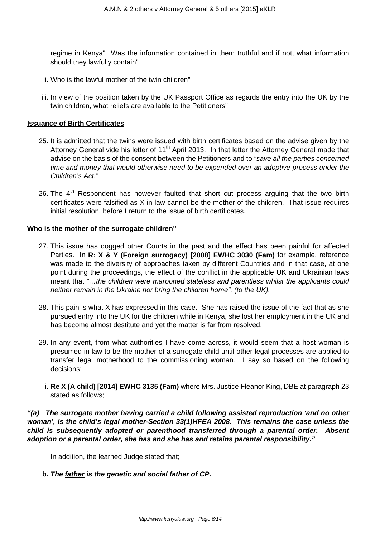regime in Kenya" Was the information contained in them truthful and if not, what information should they lawfully contain"

- ii. Who is the lawful mother of the twin children"
- iii. In view of the position taken by the UK Passport Office as regards the entry into the UK by the twin children, what reliefs are available to the Petitioners"

#### **Issuance of Birth Certificates**

- 25. It is admitted that the twins were issued with birth certificates based on the advise given by the Attorney General vide his letter of 11<sup>th</sup> April 2013. In that letter the Attorney General made that advise on the basis of the consent between the Petitioners and to "save all the parties concerned time and money that would otherwise need to be expended over an adoptive process under the Children's Act."
- 26. The  $4<sup>th</sup>$  Respondent has however faulted that short cut process arguing that the two birth certificates were falsified as X in law cannot be the mother of the children. That issue requires initial resolution, before I return to the issue of birth certificates.

### **Who is the mother of the surrogate children"**

- 27. This issue has dogged other Courts in the past and the effect has been painful for affected Parties. In **R: X & Y (Foreign surrogacy) [2008] EWHC 3030 (Fam)** for example, reference was made to the diversity of approaches taken by different Countries and in that case, at one point during the proceedings, the effect of the conflict in the applicable UK and Ukrainian laws meant that "…the children were marooned stateless and parentless whilst the applicants could neither remain in the Ukraine nor bring the children home". (to the UK).
- 28. This pain is what X has expressed in this case. She has raised the issue of the fact that as she pursued entry into the UK for the children while in Kenya, she lost her employment in the UK and has become almost destitute and yet the matter is far from resolved.
- 29. In any event, from what authorities I have come across, it would seem that a host woman is presumed in law to be the mother of a surrogate child until other legal processes are applied to transfer legal motherhood to the commissioning woman. I say so based on the following decisions;
	- **i. Re X (A child) [2014] EWHC 3135 (Fam)** where Mrs. Justice Fleanor King, DBE at paragraph 23 stated as follows;

# **"(a) The surrogate mother having carried a child following assisted reproduction 'and no other woman', is the child's legal mother-Section 33(1)HFEA 2008. This remains the case unless the child is subsequently adopted or parenthood transferred through a parental order. Absent adoption or a parental order, she has and she has and retains parental responsibility."**

In addition, the learned Judge stated that;

**b. The father is the genetic and social father of CP.**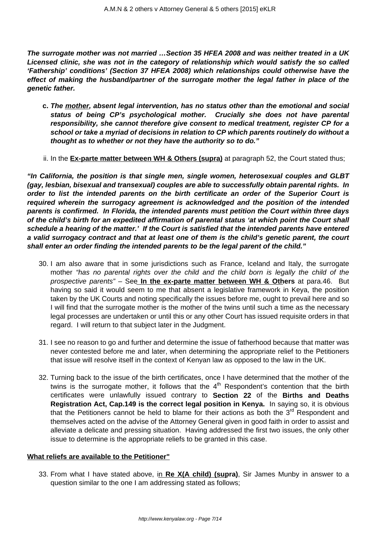**The surrogate mother was not married …Section 35 HFEA 2008 and was neither treated in a UK Licensed clinic, she was not in the category of relationship which would satisfy the so called 'Fathership' conditions' (Section 37 HFEA 2008) which relationships could otherwise have the effect of making the husband/partner of the surrogate mother the legal father in place of the genetic father.**

- **c. The mother, absent legal intervention, has no status other than the emotional and social status of being CP's psychological mother. Crucially she does not have parental responsibility, she cannot therefore give consent to medical treatment, register CP for a school or take a myriad of decisions in relation to CP which parents routinely do without a thought as to whether or not they have the authority so to do."**
- ii. In the **Ex-parte matter between WH & Others (supra)** at paragraph 52, the Court stated thus;

**"In California, the position is that single men, single women, heterosexual couples and GLBT (gay, lesbian, bisexual and transexual) couples are able to successfully obtain parental rights. In order to list the intended parents on the birth certificate an order of the Superior Court is required wherein the surrogacy agreement is acknowledged and the position of the intended parents is confirmed. In Florida, the intended parents must petition the Court within three days of the child's birth for an expedited affirmation of parental status 'at which point the Court shall schedule a hearing of the matter.' If the Court is satisfied that the intended parents have entered a valid surrogacy contract and that at least one of them is the child's genetic parent, the court shall enter an order finding the intended parents to be the legal parent of the child."**

- 30. I am also aware that in some jurisdictions such as France, Iceland and Italy, the surrogate mother "has no parental rights over the child and the child born is legally the child of the prospective parents" – See **In the ex-parte matter between WH & Others** at para.46. But having so said it would seem to me that absent a legislative framework in Keya, the position taken by the UK Courts and noting specifically the issues before me, ought to prevail here and so I will find that the surrogate mother is the mother of the twins until such a time as the necessary legal processes are undertaken or until this or any other Court has issued requisite orders in that regard. I will return to that subject later in the Judgment.
- 31. I see no reason to go and further and determine the issue of fatherhood because that matter was never contested before me and later, when determining the appropriate relief to the Petitioners that issue will resolve itself in the context of Kenyan law as opposed to the law in the UK.
- 32. Turning back to the issue of the birth certificates, once I have determined that the mother of the twins is the surrogate mother, it follows that the  $4<sup>th</sup>$  Respondent's contention that the birth certificates were unlawfully issued contrary to **Section 22** of the **Births and Deaths Registration Act, Cap.149 is the correct legal position in Kenya.** In saying so, it is obvious that the Petitioners cannot be held to blame for their actions as both the  $3<sup>rd</sup>$  Respondent and themselves acted on the advise of the Attorney General given in good faith in order to assist and alleviate a delicate and pressing situation. Having addressed the first two issues, the only other issue to determine is the appropriate reliefs to be granted in this case.

#### **What reliefs are available to the Petitioner"**

33. From what I have stated above, in **Re X(A child) (supra)**, Sir James Munby in answer to a question similar to the one I am addressing stated as follows;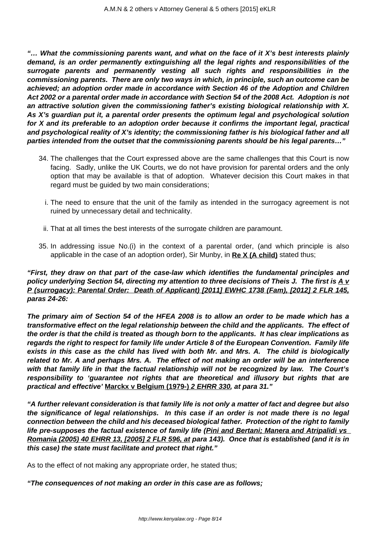**"… What the commissioning parents want, and what on the face of it X's best interests plainly demand, is an order permanently extinguishing all the legal rights and responsibilities of the surrogate parents and permanently vesting all such rights and responsibilities in the commissioning parents. There are only two ways in which, in principle, such an outcome can be achieved; an adoption order made in accordance with Section 46 of the Adoption and Children Act 2002 or a parental order made in accordance with Section 54 of the 2008 Act. Adoption is not an attractive solution given the commissioning father's existing biological relationship with X. As X's guardian put it, a parental order presents the optimum legal and psychological solution for X and its preferable to an adoption order because it confirms the important legal, practical and psychological reality of X's identity; the commissioning father is his biological father and all parties intended from the outset that the commissioning parents should be his legal parents…"**

- 34. The challenges that the Court expressed above are the same challenges that this Court is now facing. Sadly, unlike the UK Courts, we do not have provision for parental orders and the only option that may be available is that of adoption. Whatever decision this Court makes in that regard must be guided by two main considerations;
	- i. The need to ensure that the unit of the family as intended in the surrogacy agreement is not ruined by unnecessary detail and technicality.
	- ii. That at all times the best interests of the surrogate children are paramount.
- 35. In addressing issue No.(i) in the context of a parental order, (and which principle is also applicable in the case of an adoption order), Sir Munby, in **Re X (A child)** stated thus;

**"First, they draw on that part of the case-law which identifies the fundamental principles and policy underlying Section 54, directing my attention to three decisions of Theis J. The first is A v P (surrogacy): Parental Order: Death of Applicant) [2011] EWHC 1738 (Fam), [2012] 2 FLR 145, paras 24-26:**

**The primary aim of Section 54 of the HFEA 2008 is to allow an order to be made which has a transformative effect on the legal relationship between the child and the applicants. The effect of the order is that the child is treated as though born to the applicants. It has clear implications as regards the right to respect for family life under Article 8 of the European Convention. Family life exists in this case as the child has lived with both Mr. and Mrs. A. The child is biologically related to Mr. A and perhaps Mrs. A. The effect of not making an order will be an interference with that family life in that the factual relationship will not be recognized by law. The Court's responsibility to 'guarantee not rights that are theoretical and illusory but rights that are practical and effective' Marckx v Belgium (1979-) 2 EHRR 330, at para 31."**

**"A further relevant consideration is that family life is not only a matter of fact and degree but also the significance of legal relationships. In this case if an order is not made there is no legal connection between the child and his deceased biological father. Protection of the right to family life pre-supposes the factual existence of family life (Pini and Bertani; Manera and Atripalidi vs Romania (2005) 40 EHRR 13, [2005] 2 FLR 596, at para 143). Once that is established (and it is in this case) the state must facilitate and protect that right."**

As to the effect of not making any appropriate order, he stated thus;

**"The consequences of not making an order in this case are as follows;**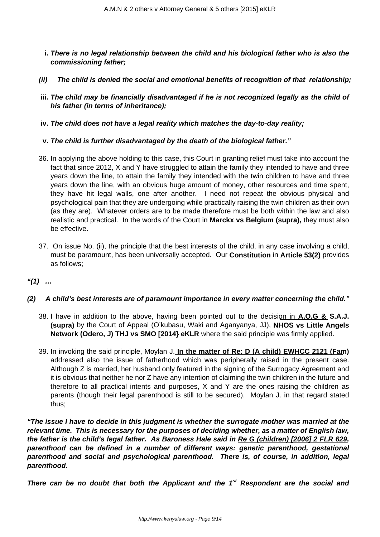- **i. There is no legal relationship between the child and his biological father who is also the commissioning father;**
- **(ii) The child is denied the social and emotional benefits of recognition of that relationship;**
- **iii. The child may be financially disadvantaged if he is not recognized legally as the child of his father (in terms of inheritance);**
- **iv. The child does not have a legal reality which matches the day-to-day reality;**
- **v. The child is further disadvantaged by the death of the biological father."**
- 36. In applying the above holding to this case, this Court in granting relief must take into account the fact that since 2012, X and Y have struggled to attain the family they intended to have and three years down the line, to attain the family they intended with the twin children to have and three years down the line, with an obvious huge amount of money, other resources and time spent, they have hit legal walls, one after another. I need not repeat the obvious physical and psychological pain that they are undergoing while practically raising the twin children as their own (as they are). Whatever orders are to be made therefore must be both within the law and also realistic and practical. In the words of the Court in **Marckx vs Belgium (supra),** they must also be effective.
- 37. On issue No. (ii), the principle that the best interests of the child, in any case involving a child, must be paramount, has been universally accepted. Our **Constitution** in **Article 53(2)** provides as follows;
- **"(1) …**

# **(2) A child's best interests are of paramount importance in every matter concerning the child."**

- 38. I have in addition to the above, having been pointed out to the decision in **A.O.G & S.A.J. (supra)** by the Court of Appeal (O'kubasu, Waki and Aganyanya, JJ), **NHOS vs Little Angels Network (Odero, J) THJ vs SMO [2014} eKLR** where the said principle was firmly applied.
- 39. In invoking the said principle, Moylan J. **In the matter of Re: D (A child) EWHCC 2121 (Fam)** addressed also the issue of fatherhood which was peripherally raised in the present case. Although Z is married, her husband only featured in the signing of the Surrogacy Agreement and it is obvious that neither he nor Z have any intention of claiming the twin children in the future and therefore to all practical intents and purposes, X and Y are the ones raising the children as parents (though their legal parenthood is still to be secured). Moylan J. in that regard stated thus;

**"The issue I have to decide in this judgment is whether the surrogate mother was married at the relevant time. This is necessary for the purposes of deciding whether, as a matter of English law, the father is the child's legal father. As Baroness Hale said in Re G (children) [2006] 2 FLR 629, parenthood can be defined in a number of different ways: genetic parenthood, gestational parenthood and social and psychological parenthood. There is, of course, in addition, legal parenthood.**

**There can be no doubt that both the Applicant and the 1st Respondent are the social and**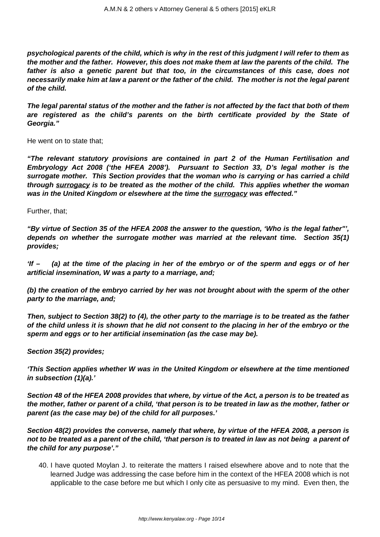**psychological parents of the child, which is why in the rest of this judgment I will refer to them as the mother and the father. However, this does not make them at law the parents of the child. The father is also a genetic parent but that too, in the circumstances of this case, does not necessarily make him at law a parent or the father of the child. The mother is not the legal parent of the child.**

**The legal parental status of the mother and the father is not affected by the fact that both of them are registered as the child's parents on the birth certificate provided by the State of Georgia."**

He went on to state that;

**"The relevant statutory provisions are contained in part 2 of the Human Fertilisation and Embryology Act 2008 ('the HFEA 2008'). Pursuant to Section 33, D's legal mother is the surrogate mother. This Section provides that the woman who is carrying or has carried a child through surrogacy is to be treated as the mother of the child. This applies whether the woman was in the United Kingdom or elsewhere at the time the surrogacy was effected."**

Further, that;

**"By virtue of Section 35 of the HFEA 2008 the answer to the question, 'Who is the legal father"', depends on whether the surrogate mother was married at the relevant time. Section 35(1) provides;**

**'If – (a) at the time of the placing in her of the embryo or of the sperm and eggs or of her artificial insemination, W was a party to a marriage, and;**

**(b) the creation of the embryo carried by her was not brought about with the sperm of the other party to the marriage, and;**

**Then, subject to Section 38(2) to (4), the other party to the marriage is to be treated as the father of the child unless it is shown that he did not consent to the placing in her of the embryo or the sperm and eggs or to her artificial insemination (as the case may be).**

**Section 35(2) provides;**

**'This Section applies whether W was in the United Kingdom or elsewhere at the time mentioned in subsection (1)(a).'**

**Section 48 of the HFEA 2008 provides that where, by virtue of the Act, a person is to be treated as the mother, father or parent of a child, 'that person is to be treated in law as the mother, father or parent (as the case may be) of the child for all purposes.'**

**Section 48(2) provides the converse, namely that where, by virtue of the HFEA 2008, a person is not to be treated as a parent of the child, 'that person is to treated in law as not being a parent of the child for any purpose'."**

40. I have quoted Moylan J. to reiterate the matters I raised elsewhere above and to note that the learned Judge was addressing the case before him in the context of the HFEA 2008 which is not applicable to the case before me but which I only cite as persuasive to my mind. Even then, the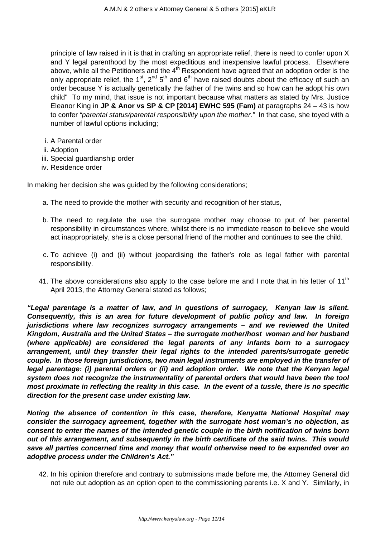principle of law raised in it is that in crafting an appropriate relief, there is need to confer upon X and Y legal parenthood by the most expeditious and inexpensive lawful process. Elsewhere above, while all the Petitioners and the  $4<sup>th</sup>$  Respondent have agreed that an adoption order is the only appropriate relief, the 1<sup>st</sup>, 2<sup>nd</sup> 5<sup>th</sup> and 6<sup>th</sup> have raised doubts about the efficacy of such an order because Y is actually genetically the father of the twins and so how can he adopt his own child" To my mind, that issue is not important because what matters as stated by Mrs. Justice Eleanor King in **JP & Anor vs SP & CP [2014] EWHC 595 (Fam)** at paragraphs 24 – 43 is how to confer "parental status/parental responsibility upon the mother." In that case, she toyed with a number of lawful options including;

- i. A Parental order
- ii. Adoption
- iii. Special guardianship order
- iv. Residence order

In making her decision she was guided by the following considerations;

- a. The need to provide the mother with security and recognition of her status,
- b. The need to regulate the use the surrogate mother may choose to put of her parental responsibility in circumstances where, whilst there is no immediate reason to believe she would act inappropriately, she is a close personal friend of the mother and continues to see the child.
- c. To achieve (i) and (ii) without jeopardising the father's role as legal father with parental responsibility.
- 41. The above considerations also apply to the case before me and I note that in his letter of 11<sup>th</sup> April 2013, the Attorney General stated as follows;

**"Legal parentage is a matter of law, and in questions of surrogacy, Kenyan law is silent. Consequently, this is an area for future development of public policy and law. In foreign jurisdictions where law recognizes surrogacy arrangements – and we reviewed the United Kingdom, Australia and the United States – the surrogate mother/host woman and her husband (where applicable) are considered the legal parents of any infants born to a surrogacy arrangement, until they transfer their legal rights to the intended parents/surrogate genetic couple. In those foreign jurisdictions, two main legal instruments are employed in the transfer of legal parentage: (i) parental orders or (ii) and adoption order. We note that the Kenyan legal system does not recognize the instrumentality of parental orders that would have been the tool most proximate in reflecting the reality in this case. In the event of a tussle, there is no specific direction for the present case under existing law.**

**Noting the absence of contention in this case, therefore, Kenyatta National Hospital may consider the surrogacy agreement, together with the surrogate host woman's no objection, as consent to enter the names of the intended genetic couple in the birth notification of twins born out of this arrangement, and subsequently in the birth certificate of the said twins. This would save all parties concerned time and money that would otherwise need to be expended over an adoptive process under the Children's Act."**

42. In his opinion therefore and contrary to submissions made before me, the Attorney General did not rule out adoption as an option open to the commissioning parents i.e. X and Y. Similarly, in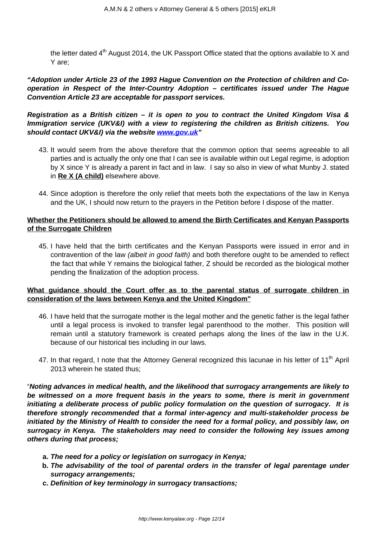the letter dated  $4<sup>th</sup>$  August 2014, the UK Passport Office stated that the options available to X and Y are;

**"Adoption under Article 23 of the 1993 Hague Convention on the Protection of children and Cooperation in Respect of the Inter-Country Adoption – certificates issued under The Hague Convention Article 23 are acceptable for passport services.**

**Registration as a British citizen – it is open to you to contract the United Kingdom Visa & Immigration service (UKV&I) with a view to registering the children as British citizens. You should contact UKV&I) via the website [www.gov.uk](http://www.gov.uk)"**

- 43. It would seem from the above therefore that the common option that seems agreeable to all parties and is actually the only one that I can see is available within out Legal regime, is adoption by X since Y is already a parent in fact and in law. I say so also in view of what Munby J. stated in **Re X (A child)** elsewhere above.
- 44. Since adoption is therefore the only relief that meets both the expectations of the law in Kenya and the UK, I should now return to the prayers in the Petition before I dispose of the matter.

# **Whether the Petitioners should be allowed to amend the Birth Certificates and Kenyan Passports of the Surrogate Children**

45. I have held that the birth certificates and the Kenyan Passports were issued in error and in contravention of the law (albeit in good faith) and both therefore ought to be amended to reflect the fact that while Y remains the biological father, Z should be recorded as the biological mother pending the finalization of the adoption process.

# **What guidance should the Court offer as to the parental status of surrogate children in consideration of the laws between Kenya and the United Kingdom"**

- 46. I have held that the surrogate mother is the legal mother and the genetic father is the legal father until a legal process is invoked to transfer legal parenthood to the mother. This position will remain until a statutory framework is created perhaps along the lines of the law in the U.K. because of our historical ties including in our laws.
- 47. In that regard, I note that the Attorney General recognized this lacunae in his letter of 11<sup>th</sup> April 2013 wherein he stated thus;

"**Noting advances in medical health, and the likelihood that surrogacy arrangements are likely to be witnessed on a more frequent basis in the years to some, there is merit in government initiating a deliberate process of public policy formulation on the question of surrogacy. It is therefore strongly recommended that a formal inter-agency and multi-stakeholder process be initiated by the Ministry of Health to consider the need for a formal policy, and possibly law, on surrogacy in Kenya. The stakeholders may need to consider the following key issues among others during that process;**

- **a. The need for a policy or legislation on surrogacy in Kenya;**
- **b. The advisability of the tool of parental orders in the transfer of legal parentage under surrogacy arrangements;**
- **c. Definition of key terminology in surrogacy transactions;**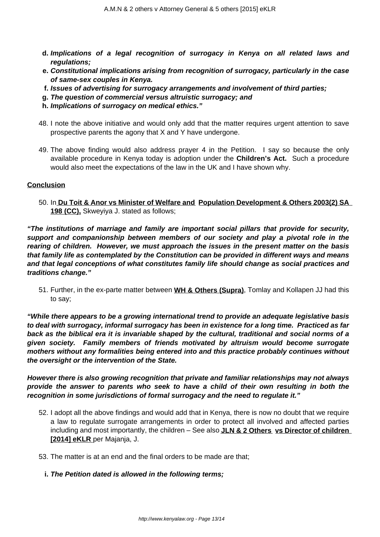- **d. Implications of a legal recognition of surrogacy in Kenya on all related laws and regulations;**
- **e. Constitutional implications arising from recognition of surrogacy, particularly in the case of same-sex couples in Kenya.**
- **f. Issues of advertising for surrogacy arrangements and involvement of third parties;**
- **g. The question of commercial versus altruistic surrogacy; and**
- **h. Implications of surrogacy on medical ethics."**
- 48. I note the above initiative and would only add that the matter requires urgent attention to save prospective parents the agony that X and Y have undergone.
- 49. The above finding would also address prayer 4 in the Petition. I say so because the only available procedure in Kenya today is adoption under the **Children's Act.** Such a procedure would also meet the expectations of the law in the UK and I have shown why.

### **Conclusion**

50. In **Du Toit & Anor vs Minister of Welfare and Population Development & Others 2003(2) SA 198 (CC),** Skweyiya J. stated as follows;

**"The institutions of marriage and family are important social pillars that provide for security, support and companionship between members of our society and play a pivotal role in the rearing of children. However, we must approach the issues in the present matter on the basis that family life as contemplated by the Constitution can be provided in different ways and means and that legal conceptions of what constitutes family life should change as social practices and traditions change."**

51. Further, in the ex-parte matter between **WH & Others (Supra)**, Tomlay and Kollapen JJ had this to say;

**"While there appears to be a growing international trend to provide an adequate legislative basis to deal with surrogacy, informal surrogacy has been in existence for a long time. Practiced as far back as the biblical era it is invariable shaped by the cultural, traditional and social norms of a given society. Family members of friends motivated by altruism would become surrogate mothers without any formalities being entered into and this practice probably continues without the oversight or the intervention of the State.**

**However there is also growing recognition that private and familiar relationships may not always provide the answer to parents who seek to have a child of their own resulting in both the recognition in some jurisdictions of formal surrogacy and the need to regulate it."**

- 52. I adopt all the above findings and would add that in Kenya, there is now no doubt that we require a law to regulate surrogate arrangements in order to protect all involved and affected parties including and most importantly, the children – See also **JLN & 2 Others vs Director of children [2014] eKLR** per Majanja, J.
- 53. The matter is at an end and the final orders to be made are that;
	- **i. The Petition dated is allowed in the following terms;**